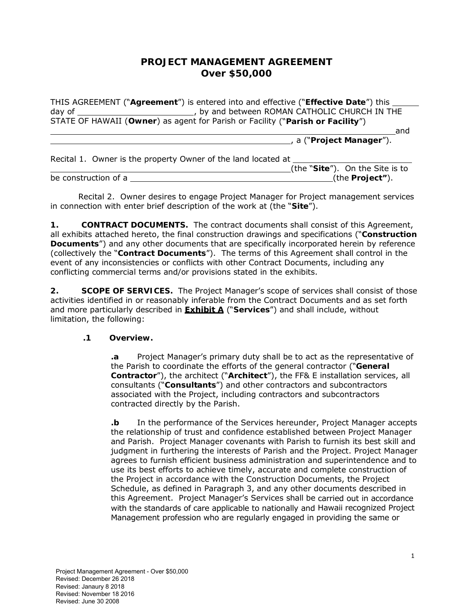# **PROJECT MANAGEMENT AGREEMENT Over \$50,000**

| THIS AGREEMENT ("Agreement") is entered into and effective ("Effective Date") this ___ |                                 |
|----------------------------------------------------------------------------------------|---------------------------------|
| day of                                                                                 |                                 |
| STATE OF HAWAII (Owner) as agent for Parish or Facility ("Parish or Facility")         |                                 |
|                                                                                        | and                             |
|                                                                                        | , a ("Project Manager").        |
| Recital 1. Owner is the property Owner of the land located at                          |                                 |
|                                                                                        | (the "Site"). On the Site is to |
| be construction of a                                                                   | (the Project").                 |

Recital 2. Owner desires to engage Project Manager for Project management services in connection with enter brief description of the work at (the "**Site**").

**1. CONTRACT DOCUMENTS.** The contract documents shall consist of this Agreement, all exhibits attached hereto, the final construction drawings and specifications ("**Construction Documents**") and any other documents that are specifically incorporated herein by reference (collectively the "**Contract Documents**"). The terms of this Agreement shall control in the event of any inconsistencies or conflicts with other Contract Documents, including any conflicting commercial terms and/or provisions stated in the exhibits.

**2. SCOPE OF SERVICES.** The Project Manager's scope of services shall consist of those activities identified in or reasonably inferable from the Contract Documents and as set forth and more particularly described in **Exhibit A** ("**Services**") and shall include, without limitation, the following:

### **.1 Overview.**

**.a** Project Manager's primary duty shall be to act as the representative of the Parish to coordinate the efforts of the general contractor ("**General Contractor**"), the architect ("**Architect**"), the FF& E installation services, all consultants ("**Consultants**") and other contractors and subcontractors associated with the Project, including contractors and subcontractors contracted directly by the Parish.

**.b** In the performance of the Services hereunder, Project Manager accepts the relationship of trust and confidence established between Project Manager and Parish. Project Manager covenants with Parish to furnish its best skill and judgment in furthering the interests of Parish and the Project. Project Manager agrees to furnish efficient business administration and superintendence and to use its best efforts to achieve timely, accurate and complete construction of the Project in accordance with the Construction Documents, the Project Schedule, as defined in Paragraph 3, and any other documents described in this Agreement. Project Manager's Services shall be carried out in accordance with the standards of care applicable to nationally and Hawaii recognized Project Management profession who are regularly engaged in providing the same or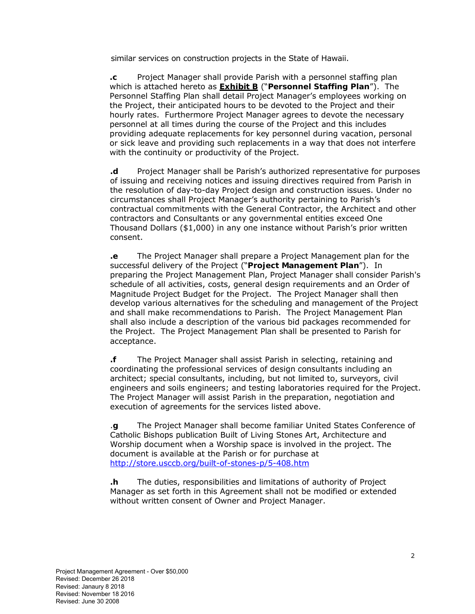similar services on construction projects in the State of Hawaii.

**.c** Project Manager shall provide Parish with a personnel staffing plan which is attached hereto as **Exhibit B** ("**Personnel Staffing Plan**"). The Personnel Staffing Plan shall detail Project Manager's employees working on the Project, their anticipated hours to be devoted to the Project and their hourly rates. Furthermore Project Manager agrees to devote the necessary personnel at all times during the course of the Project and this includes providing adequate replacements for key personnel during vacation, personal or sick leave and providing such replacements in a way that does not interfere with the continuity or productivity of the Project.

**.d** Project Manager shall be Parish's authorized representative for purposes of issuing and receiving notices and issuing directives required from Parish in the resolution of day-to-day Project design and construction issues. Under no circumstances shall Project Manager's authority pertaining to Parish's contractual commitments with the General Contractor, the Architect and other contractors and Consultants or any governmental entities exceed One Thousand Dollars (\$1,000) in any one instance without Parish's prior written consent.

**.e** The Project Manager shall prepare a Project Management plan for the successful delivery of the Project ("**Project Management Plan**"). In preparing the Project Management Plan, Project Manager shall consider Parish's schedule of all activities, costs, general design requirements and an Order of Magnitude Project Budget for the Project. The Project Manager shall then develop various alternatives for the scheduling and management of the Project and shall make recommendations to Parish. The Project Management Plan shall also include a description of the various bid packages recommended for the Project. The Project Management Plan shall be presented to Parish for acceptance.

**.f** The Project Manager shall assist Parish in selecting, retaining and coordinating the professional services of design consultants including an architect; special consultants, including, but not limited to, surveyors, civil engineers and soils engineers; and testing laboratories required for the Project. The Project Manager will assist Parish in the preparation, negotiation and execution of agreements for the services listed above.

.**g** The Project Manager shall become familiar United States Conference of Catholic Bishops publication Built of Living Stones Art, Architecture and Worship document when a Worship space is involved in the project. The document is available at the Parish or for purchase at http://store.usccb.org/built-of-stones-p/5-408.htm

**.h** The duties, responsibilities and limitations of authority of Project Manager as set forth in this Agreement shall not be modified or extended without written consent of Owner and Project Manager.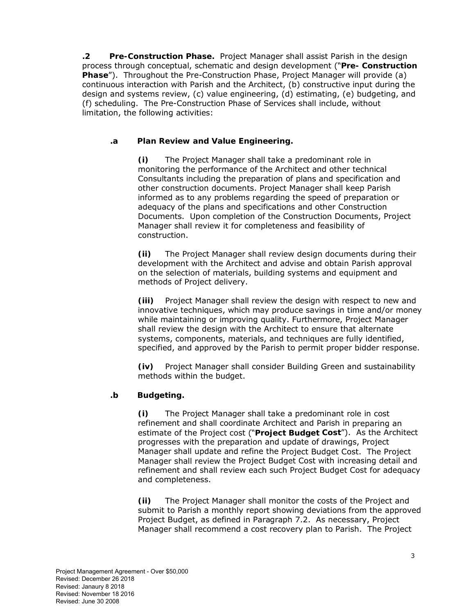**.2 Pre-Construction Phase.** Project Manager shall assist Parish in the design process through conceptual, schematic and design development ("**Pre- Construction Phase**"). Throughout the Pre-Construction Phase, Project Manager will provide (a) continuous interaction with Parish and the Architect, (b) constructive input during the design and systems review, (c) value engineering, (d) estimating, (e) budgeting, and (f) scheduling. The Pre-Construction Phase of Services shall include, without limitation, the following activities:

### **.a Plan Review and Value Engineering.**

**(i)** The Project Manager shall take a predominant role in monitoring the performance of the Architect and other technical Consultants including the preparation of plans and specification and other construction documents. Project Manager shall keep Parish informed as to any problems regarding the speed of preparation or adequacy of the plans and specifications and other Construction Documents. Upon completion of the Construction Documents, Project Manager shall review it for completeness and feasibility of construction.

**(ii)** The Project Manager shall review design documents during their development with the Architect and advise and obtain Parish approval on the selection of materials, building systems and equipment and methods of Project delivery.

**(iii)** Project Manager shall review the design with respect to new and innovative techniques, which may produce savings in time and/or money while maintaining or improving quality. Furthermore, Project Manager shall review the design with the Architect to ensure that alternate systems, components, materials, and techniques are fully identified, specified, and approved by the Parish to permit proper bidder response.

**(iv)** Project Manager shall consider Building Green and sustainability methods within the budget.

### **.b Budgeting.**

**(i)** The Project Manager shall take a predominant role in cost refinement and shall coordinate Architect and Parish in preparing an estimate of the Project cost ("**Project Budget Cost**"). As the Architect progresses with the preparation and update of drawings, Project Manager shall update and refine the Project Budget Cost. The Project Manager shall review the Project Budget Cost with increasing detail and refinement and shall review each such Project Budget Cost for adequacy and completeness.

**(ii)** The Project Manager shall monitor the costs of the Project and submit to Parish a monthly report showing deviations from the approved Project Budget, as defined in Paragraph 7.2. As necessary, Project Manager shall recommend a cost recovery plan to Parish. The Project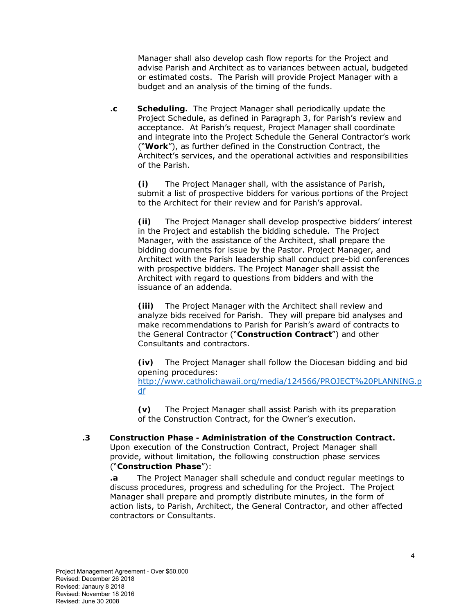Manager shall also develop cash flow reports for the Project and advise Parish and Architect as to variances between actual, budgeted or estimated costs. The Parish will provide Project Manager with a budget and an analysis of the timing of the funds.

**.c Scheduling.** The Project Manager shall periodically update the Project Schedule, as defined in Paragraph 3, for Parish's review and acceptance. At Parish's request, Project Manager shall coordinate and integrate into the Project Schedule the General Contractor's work ("**Work**"), as further defined in the Construction Contract, the Architect's services, and the operational activities and responsibilities of the Parish.

**(i)** The Project Manager shall, with the assistance of Parish, submit a list of prospective bidders for various portions of the Project to the Architect for their review and for Parish's approval.

**(ii)** The Project Manager shall develop prospective bidders' interest in the Project and establish the bidding schedule. The Project Manager, with the assistance of the Architect, shall prepare the bidding documents for issue by the Pastor. Project Manager, and Architect with the Parish leadership shall conduct pre-bid conferences with prospective bidders. The Project Manager shall assist the Architect with regard to questions from bidders and with the issuance of an addenda.

**(iii)** The Project Manager with the Architect shall review and analyze bids received for Parish. They will prepare bid analyses and make recommendations to Parish for Parish's award of contracts to the General Contractor ("**Construction Contract**") and other Consultants and contractors.

**(iv)** The Project Manager shall follow the Diocesan bidding and bid opening procedures: http://www.catholichawaii.org/media/124566/PROJECT%20PLANNING.p df

**(v)** The Project Manager shall assist Parish with its preparation of the Construction Contract, for the Owner's execution.

**.3 Construction Phase - Administration of the Construction Contract.** Upon execution of the Construction Contract, Project Manager shall provide, without limitation, the following construction phase services ("**Construction Phase**"):

**.a** The Project Manager shall schedule and conduct regular meetings to discuss procedures, progress and scheduling for the Project. The Project Manager shall prepare and promptly distribute minutes, in the form of action lists, to Parish, Architect, the General Contractor, and other affected contractors or Consultants.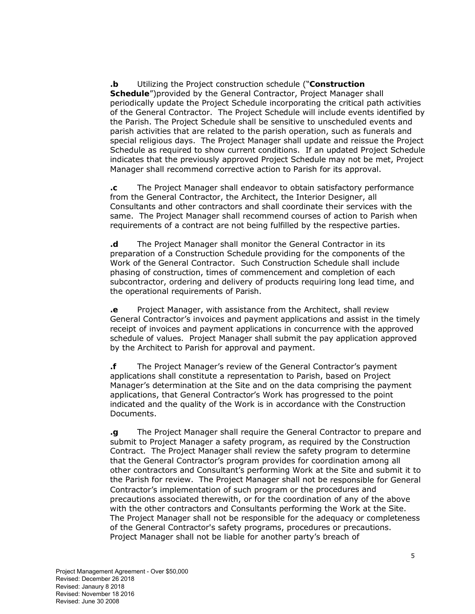### **.b** Utilizing the Project construction schedule ("**Construction**

**Schedule**")provided by the General Contractor, Project Manager shall periodically update the Project Schedule incorporating the critical path activities of the General Contractor. The Project Schedule will include events identified by the Parish. The Project Schedule shall be sensitive to unscheduled events and parish activities that are related to the parish operation, such as funerals and special religious days. The Project Manager shall update and reissue the Project Schedule as required to show current conditions. If an updated Project Schedule indicates that the previously approved Project Schedule may not be met, Project Manager shall recommend corrective action to Parish for its approval.

**.c** The Project Manager shall endeavor to obtain satisfactory performance from the General Contractor, the Architect, the Interior Designer, all Consultants and other contractors and shall coordinate their services with the same. The Project Manager shall recommend courses of action to Parish when requirements of a contract are not being fulfilled by the respective parties.

**.d** The Project Manager shall monitor the General Contractor in its preparation of a Construction Schedule providing for the components of the Work of the General Contractor. Such Construction Schedule shall include phasing of construction, times of commencement and completion of each subcontractor, ordering and delivery of products requiring long lead time, and the operational requirements of Parish.

**.e** Project Manager, with assistance from the Architect, shall review General Contractor's invoices and payment applications and assist in the timely receipt of invoices and payment applications in concurrence with the approved schedule of values. Project Manager shall submit the pay application approved by the Architect to Parish for approval and payment.

**.f** The Project Manager's review of the General Contractor's payment applications shall constitute a representation to Parish, based on Project Manager's determination at the Site and on the data comprising the payment applications, that General Contractor's Work has progressed to the point indicated and the quality of the Work is in accordance with the Construction Documents.

**.g** The Project Manager shall require the General Contractor to prepare and submit to Project Manager a safety program, as required by the Construction Contract. The Project Manager shall review the safety program to determine that the General Contractor's program provides for coordination among all other contractors and Consultant's performing Work at the Site and submit it to the Parish for review. The Project Manager shall not be responsible for General Contractor's implementation of such program or the procedures and precautions associated therewith, or for the coordination of any of the above with the other contractors and Consultants performing the Work at the Site. The Project Manager shall not be responsible for the adequacy or completeness of the General Contractor's safety programs, procedures or precautions. Project Manager shall not be liable for another party's breach of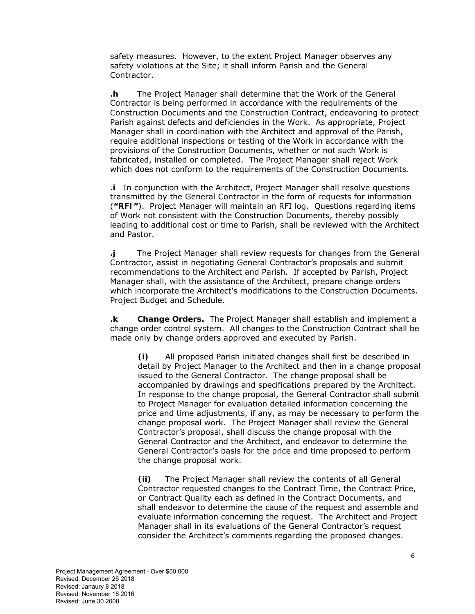safety measures. However, to the extent Project Manager observes any safety violations at the Site; it shall inform Parish and the General Contractor.

**.h** The Project Manager shall determine that the Work of the General Contractor is being performed in accordance with the requirements of the Construction Documents and the Construction Contract, endeavoring to protect Parish against defects and deficiencies in the Work. As appropriate, Project Manager shall in coordination with the Architect and approval of the Parish, require additional inspections or testing of the Work in accordance with the provisions of the Construction Documents, whether or not such Work is fabricated, installed or completed. The Project Manager shall reject Work which does not conform to the requirements of the Construction Documents.

**.i** In conjunction with the Architect, Project Manager shall resolve questions transmitted by the General Contractor in the form of requests for information (**"RFI"**). Project Manager will maintain an RFI log. Questions regarding items of Work not consistent with the Construction Documents, thereby possibly leading to additional cost or time to Parish, shall be reviewed with the Architect and Pastor.

**.j** The Project Manager shall review requests for changes from the General Contractor, assist in negotiating General Contractor's proposals and submit recommendations to the Architect and Parish. If accepted by Parish, Project Manager shall, with the assistance of the Architect, prepare change orders which incorporate the Architect's modifications to the Construction Documents. Project Budget and Schedule.

**.k Change Orders.** The Project Manager shall establish and implement a change order control system. All changes to the Construction Contract shall be made only by change orders approved and executed by Parish.

**(i)** All proposed Parish initiated changes shall first be described in detail by Project Manager to the Architect and then in a change proposal issued to the General Contractor. The change proposal shall be accompanied by drawings and specifications prepared by the Architect. In response to the change proposal, the General Contractor shall submit to Project Manager for evaluation detailed information concerning the price and time adjustments, if any, as may be necessary to perform the change proposal work. The Project Manager shall review the General Contractor's proposal, shall discuss the change proposal with the General Contractor and the Architect, and endeavor to determine the General Contractor's basis for the price and time proposed to perform the change proposal work.

**(ii)** The Project Manager shall review the contents of all General Contractor requested changes to the Contract Time, the Contract Price, or Contract Quality each as defined in the Contract Documents, and shall endeavor to determine the cause of the request and assemble and evaluate information concerning the request. The Architect and Project Manager shall in its evaluations of the General Contractor's request consider the Architect's comments regarding the proposed changes.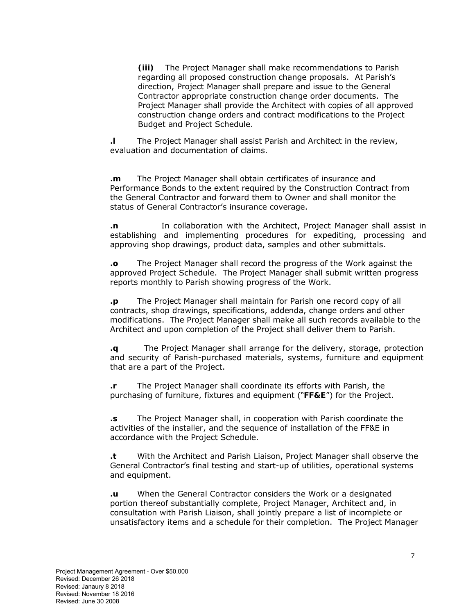**(iii)** The Project Manager shall make recommendations to Parish regarding all proposed construction change proposals. At Parish's direction, Project Manager shall prepare and issue to the General Contractor appropriate construction change order documents. The Project Manager shall provide the Architect with copies of all approved construction change orders and contract modifications to the Project Budget and Project Schedule.

**.l** The Project Manager shall assist Parish and Architect in the review, evaluation and documentation of claims.

**.m** The Project Manager shall obtain certificates of insurance and Performance Bonds to the extent required by the Construction Contract from the General Contractor and forward them to Owner and shall monitor the status of General Contractor's insurance coverage.

**.n** In collaboration with the Architect, Project Manager shall assist in establishing and implementing procedures for expediting, processing and approving shop drawings, product data, samples and other submittals.

**.o** The Project Manager shall record the progress of the Work against the approved Project Schedule. The Project Manager shall submit written progress reports monthly to Parish showing progress of the Work.

**.p** The Project Manager shall maintain for Parish one record copy of all contracts, shop drawings, specifications, addenda, change orders and other modifications. The Project Manager shall make all such records available to the Architect and upon completion of the Project shall deliver them to Parish.

**.q** The Project Manager shall arrange for the delivery, storage, protection and security of Parish-purchased materials, systems, furniture and equipment that are a part of the Project.

**.r** The Project Manager shall coordinate its efforts with Parish, the purchasing of furniture, fixtures and equipment ("**FF&E**") for the Project.

**.s** The Project Manager shall, in cooperation with Parish coordinate the activities of the installer, and the sequence of installation of the FF&E in accordance with the Project Schedule.

**.t** With the Architect and Parish Liaison, Project Manager shall observe the General Contractor's final testing and start-up of utilities, operational systems and equipment.

**.u** When the General Contractor considers the Work or a designated portion thereof substantially complete, Project Manager, Architect and, in consultation with Parish Liaison, shall jointly prepare a list of incomplete or unsatisfactory items and a schedule for their completion. The Project Manager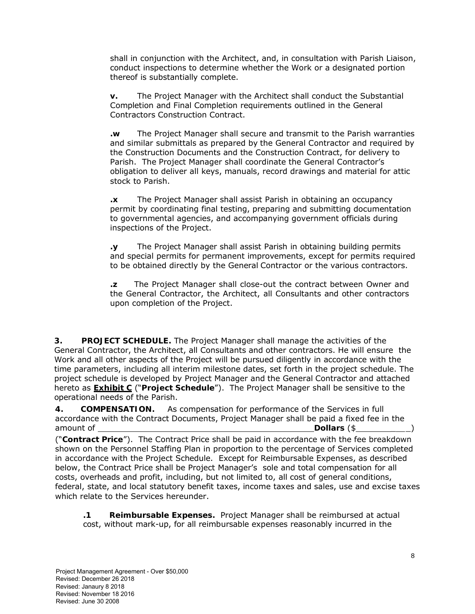shall in conjunction with the Architect, and, in consultation with Parish Liaison, conduct inspections to determine whether the Work or a designated portion thereof is substantially complete.

**v.** The Project Manager with the Architect shall conduct the Substantial Completion and Final Completion requirements outlined in the General Contractors Construction Contract.

**.w** The Project Manager shall secure and transmit to the Parish warranties and similar submittals as prepared by the General Contractor and required by the Construction Documents and the Construction Contract, for delivery to Parish. The Project Manager shall coordinate the General Contractor's obligation to deliver all keys, manuals, record drawings and material for attic stock to Parish.

**.x** The Project Manager shall assist Parish in obtaining an occupancy permit by coordinating final testing, preparing and submitting documentation to governmental agencies, and accompanying government officials during inspections of the Project.

**.y** The Project Manager shall assist Parish in obtaining building permits and special permits for permanent improvements, except for permits required to be obtained directly by the General Contractor or the various contractors.

**.z** The Project Manager shall close-out the contract between Owner and the General Contractor, the Architect, all Consultants and other contractors upon completion of the Project.

**3. PROJECT SCHEDULE.** The Project Manager shall manage the activities of the General Contractor, the Architect, all Consultants and other contractors. He will ensure the Work and all other aspects of the Project will be pursued diligently in accordance with the time parameters, including all interim milestone dates, set forth in the project schedule. The project schedule is developed by Project Manager and the General Contractor and attached hereto as **Exhibit C** ("**Project Schedule**"). The Project Manager shall be sensitive to the operational needs of the Parish.

**4. COMPENSATION.** As compensation for performance of the Services in full accordance with the Contract Documents, Project Manager shall be paid a fixed fee in the amount of **Dollars** (\$ \_ \_)

("**Contract Price**"). The Contract Price shall be paid in accordance with the fee breakdown shown on the Personnel Staffing Plan in proportion to the percentage of Services completed in accordance with the Project Schedule. Except for Reimbursable Expenses, as described below, the Contract Price shall be Project Manager's sole and total compensation for all costs, overheads and profit, including, but not limited to, all cost of general conditions, federal, state, and local statutory benefit taxes, income taxes and sales, use and excise taxes which relate to the Services hereunder.

**.1 Reimbursable Expenses.** Project Manager shall be reimbursed at actual cost, without mark-up, for all reimbursable expenses reasonably incurred in the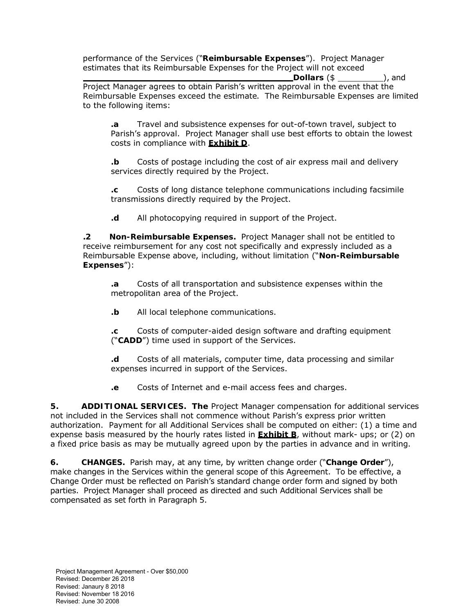performance of the Services ("**Reimbursable Expenses**"). Project Manager estimates that its Reimbursable Expenses for the Project will not exceed

 **Dollars** (\$ ), and Project Manager agrees to obtain Parish's written approval in the event that the Reimbursable Expenses exceed the estimate. The Reimbursable Expenses are limited to the following items:

**.a** Travel and subsistence expenses for out-of-town travel, subject to Parish's approval. Project Manager shall use best efforts to obtain the lowest costs in compliance with **Exhibit D**.

**.b** Costs of postage including the cost of air express mail and delivery services directly required by the Project.

**.c** Costs of long distance telephone communications including facsimile transmissions directly required by the Project.

**.d** All photocopying required in support of the Project.

**.2 Non-Reimbursable Expenses.** Project Manager shall not be entitled to receive reimbursement for any cost not specifically and expressly included as a Reimbursable Expense above, including, without limitation ("**Non-Reimbursable Expenses**"):

**.a** Costs of all transportation and subsistence expenses within the metropolitan area of the Project.

**.b** All local telephone communications.

**.c** Costs of computer-aided design software and drafting equipment ("**CADD**") time used in support of the Services.

**.d** Costs of all materials, computer time, data processing and similar expenses incurred in support of the Services.

**.e** Costs of Internet and e-mail access fees and charges.

**5. ADDITIONAL SERVICES. The** Project Manager compensation for additional services not included in the Services shall not commence without Parish's express prior written authorization. Payment for all Additional Services shall be computed on either: (1) a time and expense basis measured by the hourly rates listed in **Exhibit B**, without mark- ups; or (2) on a fixed price basis as may be mutually agreed upon by the parties in advance and in writing.

**6. CHANGES.** Parish may, at any time, by written change order ("**Change Order**"), make changes in the Services within the general scope of this Agreement. To be effective, a Change Order must be reflected on Parish's standard change order form and signed by both parties. Project Manager shall proceed as directed and such Additional Services shall be compensated as set forth in Paragraph 5.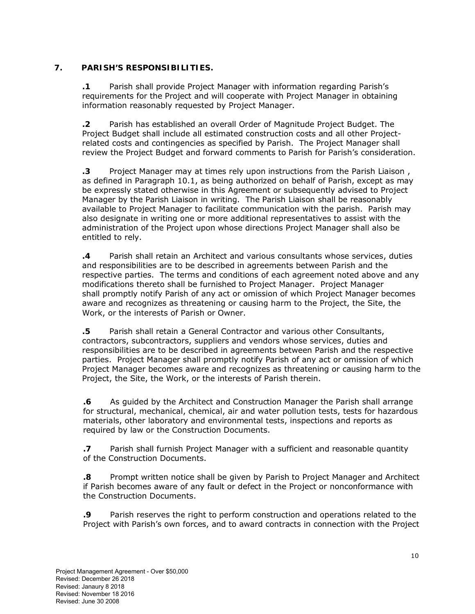## **7. PARISH'S RESPONSIBILITIES.**

**.1** Parish shall provide Project Manager with information regarding Parish's requirements for the Project and will cooperate with Project Manager in obtaining information reasonably requested by Project Manager.

**.2** Parish has established an overall Order of Magnitude Project Budget. The Project Budget shall include all estimated construction costs and all other Projectrelated costs and contingencies as specified by Parish. The Project Manager shall review the Project Budget and forward comments to Parish for Parish's consideration.

**.3** Project Manager may at times rely upon instructions from the Parish Liaison , as defined in Paragraph 10.1, as being authorized on behalf of Parish, except as may be expressly stated otherwise in this Agreement or subsequently advised to Project Manager by the Parish Liaison in writing. The Parish Liaison shall be reasonably available to Project Manager to facilitate communication with the parish. Parish may also designate in writing one or more additional representatives to assist with the administration of the Project upon whose directions Project Manager shall also be entitled to rely.

**.4** Parish shall retain an Architect and various consultants whose services, duties and responsibilities are to be described in agreements between Parish and the respective parties. The terms and conditions of each agreement noted above and any modifications thereto shall be furnished to Project Manager. Project Manager shall promptly notify Parish of any act or omission of which Project Manager becomes aware and recognizes as threatening or causing harm to the Project, the Site, the Work, or the interests of Parish or Owner.

**.5** Parish shall retain a General Contractor and various other Consultants, contractors, subcontractors, suppliers and vendors whose services, duties and responsibilities are to be described in agreements between Parish and the respective parties. Project Manager shall promptly notify Parish of any act or omission of which Project Manager becomes aware and recognizes as threatening or causing harm to the Project, the Site, the Work, or the interests of Parish therein.

**.6** As guided by the Architect and Construction Manager the Parish shall arrange for structural, mechanical, chemical, air and water pollution tests, tests for hazardous materials, other laboratory and environmental tests, inspections and reports as required by law or the Construction Documents.

**.7** Parish shall furnish Project Manager with a sufficient and reasonable quantity of the Construction Documents.

**.8** Prompt written notice shall be given by Parish to Project Manager and Architect if Parish becomes aware of any fault or defect in the Project or nonconformance with the Construction Documents.

**.9** Parish reserves the right to perform construction and operations related to the Project with Parish's own forces, and to award contracts in connection with the Project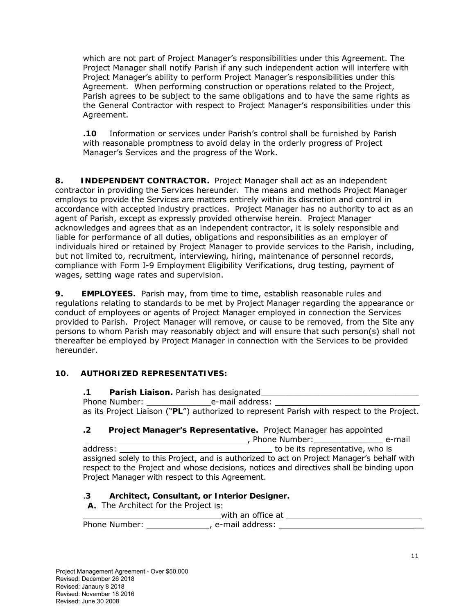which are not part of Project Manager's responsibilities under this Agreement. The Project Manager shall notify Parish if any such independent action will interfere with Project Manager's ability to perform Project Manager's responsibilities under this Agreement. When performing construction or operations related to the Project, Parish agrees to be subject to the same obligations and to have the same rights as the General Contractor with respect to Project Manager's responsibilities under this Agreement.

**.10** Information or services under Parish's control shall be furnished by Parish with reasonable promptness to avoid delay in the orderly progress of Project Manager's Services and the progress of the Work.

**8. INDEPENDENT CONTRACTOR.** Project Manager shall act as an independent contractor in providing the Services hereunder. The means and methods Project Manager employs to provide the Services are matters entirely within its discretion and control in accordance with accepted industry practices. Project Manager has no authority to act as an agent of Parish, except as expressly provided otherwise herein. Project Manager acknowledges and agrees that as an independent contractor, it is solely responsible and liable for performance of all duties, obligations and responsibilities as an employer of individuals hired or retained by Project Manager to provide services to the Parish, including, but not limited to, recruitment, interviewing, hiring, maintenance of personnel records, compliance with Form I-9 Employment Eligibility Verifications, drug testing, payment of wages, setting wage rates and supervision.

**9. EMPLOYEES.** Parish may, from time to time, establish reasonable rules and regulations relating to standards to be met by Project Manager regarding the appearance or conduct of employees or agents of Project Manager employed in connection the Services provided to Parish. Project Manager will remove, or cause to be removed, from the Site any persons to whom Parish may reasonably object and will ensure that such person(s) shall not thereafter be employed by Project Manager in connection with the Services to be provided hereunder.

## **10. AUTHORIZED REPRESENTATIVES:**

**.1 Parish Liaison.** Parish has designated\_\_\_\_\_\_\_\_\_\_\_\_\_\_\_\_\_\_\_\_\_\_\_\_\_\_\_\_\_\_\_\_ Phone Number: e-mail address: as its Project Liaison ("**PL**") authorized to represent Parish with respect to the Project.

### **.2 Project Manager's Representative.** Project Manager has appointed

**Manufarithe Indian Property**, Phone Number: **Container** e-mail address: \_\_\_\_\_ to be its representative, who is assigned solely to this Project, and is authorized to act on Project Manager's behalf with respect to the Project and whose decisions, notices and directives shall be binding upon Project Manager with respect to this Agreement.

### .**3 Architect, Consultant, or Interior Designer.**

**A.** The Architect for the Project is:

 with an office at Phone Number: \_\_\_\_\_\_\_\_\_\_\_\_\_\_\_\_\_, e-mail address: \_\_\_\_\_\_\_\_\_\_\_\_\_\_\_\_\_\_\_\_\_\_\_\_\_\_\_\_\_\_\_\_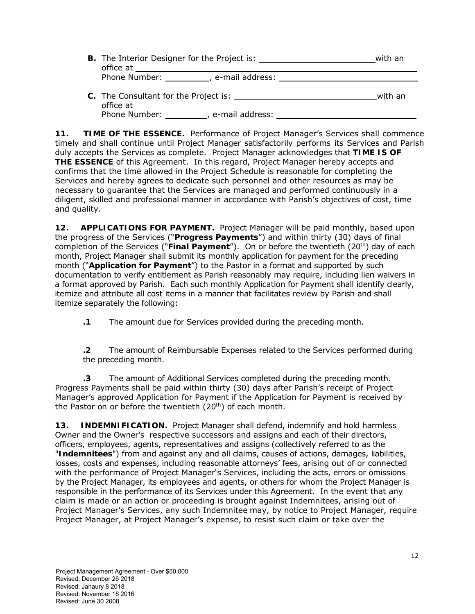| <b>B.</b> The Interior Designer for the Project is:<br>office at | with an |
|------------------------------------------------------------------|---------|
| Phone Number:<br>e-mail address:                                 |         |

**C.** The Consultant for the Project is: with an office at Phone Number: , e-mail address:

**11. TIME OF THE ESSENCE.** Performance of Project Manager's Services shall commence timely and shall continue until Project Manager satisfactorily performs its Services and Parish duly accepts the Services as complete. Project Manager acknowledges that **TIME IS OF THE ESSENCE** of this Agreement. In this regard, Project Manager hereby accepts and confirms that the time allowed in the Project Schedule is reasonable for completing the Services and hereby agrees to dedicate such personnel and other resources as may be necessary to guarantee that the Services are managed and performed continuously in a diligent, skilled and professional manner in accordance with Parish's objectives of cost, time and quality.

**12. APPLICATIONS FOR PAYMENT.** Project Manager will be paid monthly, based upon the progress of the Services ("**Progress Payments**") and within thirty (30) days of final completion of the Services ("Final Payment"). On or before the twentieth (20<sup>th</sup>) day of each month, Project Manager shall submit its monthly application for payment for the preceding month ("**Application for Payment**") to the Pastor in a format and supported by such documentation to verify entitlement as Parish reasonably may require, including lien waivers in a format approved by Parish. Each such monthly Application for Payment shall identify clearly, itemize and attribute all cost items in a manner that facilitates review by Parish and shall itemize separately the following:

**.1** The amount due for Services provided during the preceding month.

**.2** The amount of Reimbursable Expenses related to the Services performed during the preceding month.

**.3** The amount of Additional Services completed during the preceding month. Progress Payments shall be paid within thirty (30) days after Parish's receipt of Project Manager's approved Application for Payment if the Application for Payment is received by the Pastor on or before the twentieth  $(20<sup>th</sup>)$  of each month.

**13. INDEMNIFICATION.** Project Manager shall defend, indemnify and hold harmless Owner and the Owner's respective successors and assigns and each of their directors, officers, employees, agents, representatives and assigns (collectively referred to as the "**Indemnitees**") from and against any and all claims, causes of actions, damages, liabilities, losses, costs and expenses, including reasonable attorneys' fees, arising out of or connected with the performance of Project Manager's Services, including the acts, errors or omissions by the Project Manager, its employees and agents, or others for whom the Project Manager is responsible in the performance of its Services under this Agreement. In the event that any claim is made or an action or proceeding is brought against Indemnitees, arising out of Project Manager's Services, any such Indemnitee may, by notice to Project Manager, require Project Manager, at Project Manager's expense, to resist such claim or take over the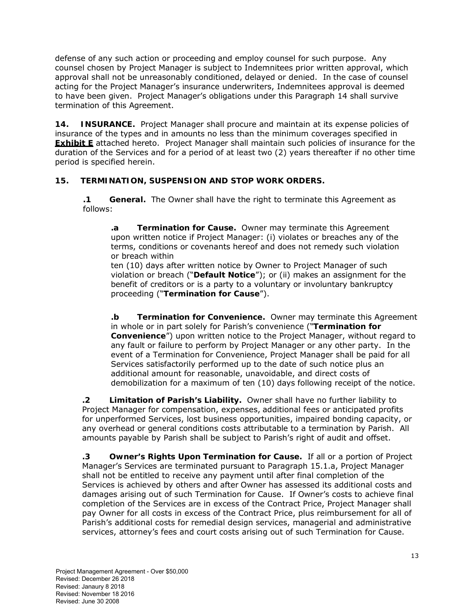defense of any such action or proceeding and employ counsel for such purpose. Any counsel chosen by Project Manager is subject to Indemnitees prior written approval, which approval shall not be unreasonably conditioned, delayed or denied. In the case of counsel acting for the Project Manager's insurance underwriters, Indemnitees approval is deemed to have been given. Project Manager's obligations under this Paragraph 14 shall survive termination of this Agreement.

**14. INSURANCE.** Project Manager shall procure and maintain at its expense policies of insurance of the types and in amounts no less than the minimum coverages specified in **Exhibit E** attached hereto. Project Manager shall maintain such policies of insurance for the duration of the Services and for a period of at least two (2) years thereafter if no other time period is specified herein.

## **15. TERMINATION, SUSPENSION AND STOP WORK ORDERS.**

**.1 General.** The Owner shall have the right to terminate this Agreement as follows:

**.a Termination for Cause.** Owner may terminate this Agreement upon written notice if Project Manager: (i) violates or breaches any of the terms, conditions or covenants hereof and does not remedy such violation or breach within

ten (10) days after written notice by Owner to Project Manager of such violation or breach ("**Default Notice**"); or (ii) makes an assignment for the benefit of creditors or is a party to a voluntary or involuntary bankruptcy proceeding ("**Termination for Cause**").

**.b Termination for Convenience.** Owner may terminate this Agreement in whole or in part solely for Parish's convenience ("**Termination for Convenience**") upon written notice to the Project Manager, without regard to any fault or failure to perform by Project Manager or any other party. In the event of a Termination for Convenience, Project Manager shall be paid for all Services satisfactorily performed up to the date of such notice plus an additional amount for reasonable, unavoidable, and direct costs of demobilization for a maximum of ten (10) days following receipt of the notice.

**.2 Limitation of Parish's Liability.** Owner shall have no further liability to Project Manager for compensation, expenses, additional fees or anticipated profits for unperformed Services, lost business opportunities, impaired bonding capacity, or any overhead or general conditions costs attributable to a termination by Parish. All amounts payable by Parish shall be subject to Parish's right of audit and offset.

**.3 Owner's Rights Upon Termination for Cause.** If all or a portion of Project Manager's Services are terminated pursuant to Paragraph 15.1.a, Project Manager shall not be entitled to receive any payment until after final completion of the Services is achieved by others and after Owner has assessed its additional costs and damages arising out of such Termination for Cause. If Owner's costs to achieve final completion of the Services are in excess of the Contract Price, Project Manager shall pay Owner for all costs in excess of the Contract Price, plus reimbursement for all of Parish's additional costs for remedial design services, managerial and administrative services, attorney's fees and court costs arising out of such Termination for Cause.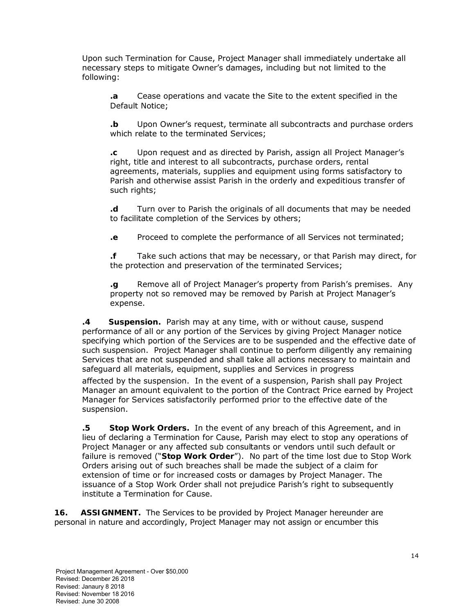Upon such Termination for Cause, Project Manager shall immediately undertake all necessary steps to mitigate Owner's damages, including but not limited to the following:

**.a** Cease operations and vacate the Site to the extent specified in the Default Notice;

**.b** Upon Owner's request, terminate all subcontracts and purchase orders which relate to the terminated Services;

**.c** Upon request and as directed by Parish, assign all Project Manager's right, title and interest to all subcontracts, purchase orders, rental agreements, materials, supplies and equipment using forms satisfactory to Parish and otherwise assist Parish in the orderly and expeditious transfer of such rights;

**.d** Turn over to Parish the originals of all documents that may be needed to facilitate completion of the Services by others;

**.e** Proceed to complete the performance of all Services not terminated;

**.f** Take such actions that may be necessary, or that Parish may direct, for the protection and preservation of the terminated Services;

**.g** Remove all of Project Manager's property from Parish's premises. Any property not so removed may be removed by Parish at Project Manager's expense.

**.4 Suspension.** Parish may at any time, with or without cause, suspend performance of all or any portion of the Services by giving Project Manager notice specifying which portion of the Services are to be suspended and the effective date of such suspension. Project Manager shall continue to perform diligently any remaining Services that are not suspended and shall take all actions necessary to maintain and safeguard all materials, equipment, supplies and Services in progress

affected by the suspension. In the event of a suspension, Parish shall pay Project Manager an amount equivalent to the portion of the Contract Price earned by Project Manager for Services satisfactorily performed prior to the effective date of the suspension.

**.5 Stop Work Orders.** In the event of any breach of this Agreement, and in lieu of declaring a Termination for Cause, Parish may elect to stop any operations of Project Manager or any affected sub consultants or vendors until such default or failure is removed ("**Stop Work Order**"). No part of the time lost due to Stop Work Orders arising out of such breaches shall be made the subject of a claim for extension of time or for increased costs or damages by Project Manager. The issuance of a Stop Work Order shall not prejudice Parish's right to subsequently institute a Termination for Cause.

**16. ASSIGNMENT.** The Services to be provided by Project Manager hereunder are personal in nature and accordingly, Project Manager may not assign or encumber this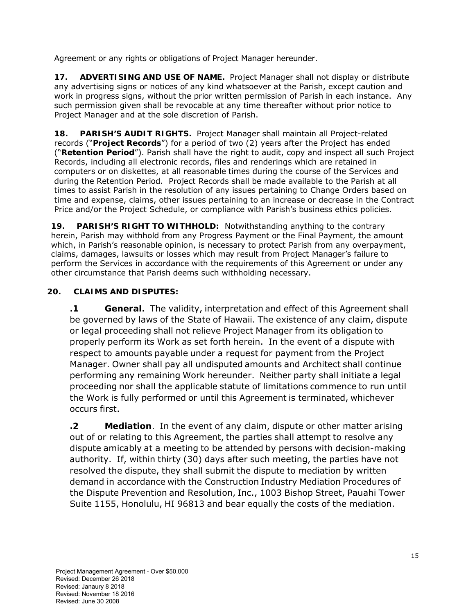Agreement or any rights or obligations of Project Manager hereunder.

**17. ADVERTISING AND USE OF NAME.** Project Manager shall not display or distribute any advertising signs or notices of any kind whatsoever at the Parish, except caution and work in progress signs, without the prior written permission of Parish in each instance. Any such permission given shall be revocable at any time thereafter without prior notice to Project Manager and at the sole discretion of Parish.

**18. PARISH'S AUDIT RIGHTS.** Project Manager shall maintain all Project-related records ("**Project Records**") for a period of two (2) years after the Project has ended ("**Retention Period**"). Parish shall have the right to audit, copy and inspect all such Project Records, including all electronic records, files and renderings which are retained in computers or on diskettes, at all reasonable times during the course of the Services and during the Retention Period. Project Records shall be made available to the Parish at all times to assist Parish in the resolution of any issues pertaining to Change Orders based on time and expense, claims, other issues pertaining to an increase or decrease in the Contract Price and/or the Project Schedule, or compliance with Parish's business ethics policies.

**19. PARISH'S RIGHT TO WITHHOLD:** Notwithstanding anything to the contrary herein, Parish may withhold from any Progress Payment or the Final Payment, the amount which, in Parish's reasonable opinion, is necessary to protect Parish from any overpayment, claims, damages, lawsuits or losses which may result from Project Manager's failure to perform the Services in accordance with the requirements of this Agreement or under any other circumstance that Parish deems such withholding necessary.

# **20. CLAIMS AND DISPUTES:**

**.1 General.** The validity, interpretation and effect of this Agreement shall be governed by laws of the State of Hawaii. The existence of any claim, dispute or legal proceeding shall not relieve Project Manager from its obligation to properly perform its Work as set forth herein. In the event of a dispute with respect to amounts payable under a request for payment from the Project Manager. Owner shall pay all undisputed amounts and Architect shall continue performing any remaining Work hereunder. Neither party shall initiate a legal proceeding nor shall the applicable statute of limitations commence to run until the Work is fully performed or until this Agreement is terminated, whichever occurs first.

**.2 Mediation**. In the event of any claim, dispute or other matter arising out of or relating to this Agreement, the parties shall attempt to resolve any dispute amicably at a meeting to be attended by persons with decision-making authority. If, within thirty (30) days after such meeting, the parties have not resolved the dispute, they shall submit the dispute to mediation by written demand in accordance with the Construction Industry Mediation Procedures of the Dispute Prevention and Resolution, Inc., 1003 Bishop Street, Pauahi Tower Suite 1155, Honolulu, HI 96813 and bear equally the costs of the mediation.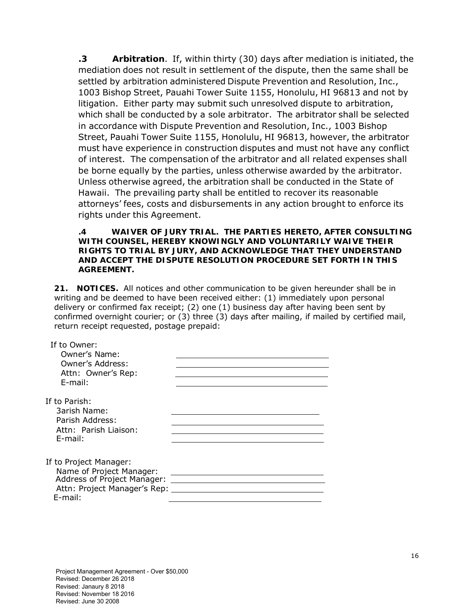**.3 Arbitration**. If, within thirty (30) days after mediation is initiated, the mediation does not result in settlement of the dispute, then the same shall be settled by arbitration administered Dispute Prevention and Resolution, Inc., 1003 Bishop Street, Pauahi Tower Suite 1155, Honolulu, HI 96813 and not by litigation. Either party may submit such unresolved dispute to arbitration, which shall be conducted by a sole arbitrator. The arbitrator shall be selected in accordance with Dispute Prevention and Resolution, Inc., 1003 Bishop Street, Pauahi Tower Suite 1155, Honolulu, HI 96813, however, the arbitrator must have experience in construction disputes and must not have any conflict of interest. The compensation of the arbitrator and all related expenses shall be borne equally by the parties, unless otherwise awarded by the arbitrator. Unless otherwise agreed, the arbitration shall be conducted in the State of Hawaii. The prevailing party shall be entitled to recover its reasonable attorneys' fees, costs and disbursements in any action brought to enforce its rights under this Agreement.

**.4 WAIVER OF JURY TRIAL. THE PARTIES HERETO, AFTER CONSULTING WITH COUNSEL, HEREBY KNOWINGLY AND VOLUNTARILY WAIVE THEIR RIGHTS TO TRIAL BY JURY, AND ACKNOWLEDGE THAT THEY UNDERSTAND AND ACCEPT THE DISPUTE RESOLUTION PROCEDURE SET FORTH IN THIS AGREEMENT.**

**21. NOTICES.** All notices and other communication to be given hereunder shall be in writing and be deemed to have been received either: (1) immediately upon personal delivery or confirmed fax receipt; (2) one (1) business day after having been sent by confirmed overnight courier; or (3) three (3) days after mailing, if mailed by certified mail, return receipt requested, postage prepaid:

| If to Owner:<br>Owner's Name:<br>Owner's Address:<br>Attn: Owner's Rep:<br>E-mail:                                           |  |
|------------------------------------------------------------------------------------------------------------------------------|--|
| If to Parish:<br>3arish Name:<br>Parish Address:<br>Attn: Parish Liaison:<br>E-mail:                                         |  |
| If to Project Manager:<br>Name of Project Manager:<br>Address of Project Manager:<br>Attn: Project Manager's Rep:<br>E-mail: |  |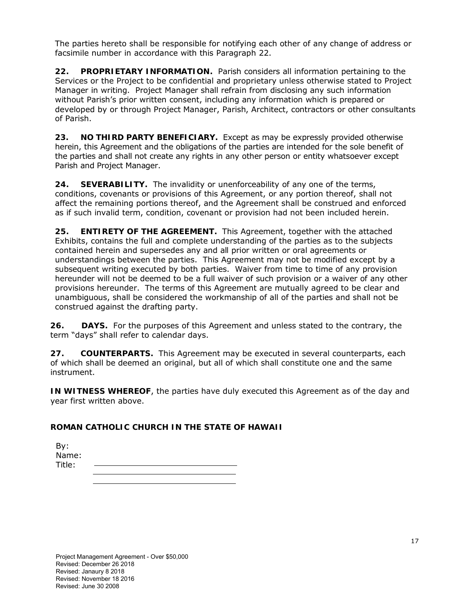The parties hereto shall be responsible for notifying each other of any change of address or facsimile number in accordance with this Paragraph 22.

**22. PROPRIETARY INFORMATION.** Parish considers all information pertaining to the Services or the Project to be confidential and proprietary unless otherwise stated to Project Manager in writing. Project Manager shall refrain from disclosing any such information without Parish's prior written consent, including any information which is prepared or developed by or through Project Manager, Parish, Architect, contractors or other consultants of Parish.

**23. NO THIRD PARTY BENEFICIARY.** Except as may be expressly provided otherwise herein, this Agreement and the obligations of the parties are intended for the sole benefit of the parties and shall not create any rights in any other person or entity whatsoever except Parish and Project Manager.

**24. SEVERABILITY.** The invalidity or unenforceability of any one of the terms, conditions, covenants or provisions of this Agreement, or any portion thereof, shall not affect the remaining portions thereof, and the Agreement shall be construed and enforced as if such invalid term, condition, covenant or provision had not been included herein.

**25. ENTIRETY OF THE AGREEMENT.** This Agreement, together with the attached Exhibits, contains the full and complete understanding of the parties as to the subjects contained herein and supersedes any and all prior written or oral agreements or understandings between the parties. This Agreement may not be modified except by a subsequent writing executed by both parties. Waiver from time to time of any provision hereunder will not be deemed to be a full waiver of such provision or a waiver of any other provisions hereunder. The terms of this Agreement are mutually agreed to be clear and unambiguous, shall be considered the workmanship of all of the parties and shall not be construed against the drafting party.

**26. DAYS.** For the purposes of this Agreement and unless stated to the contrary, the term "days" shall refer to calendar days.

**27. COUNTERPARTS.** This Agreement may be executed in several counterparts, each of which shall be deemed an original, but all of which shall constitute one and the same instrument.

**IN WITNESS WHEREOF**, the parties have duly executed this Agreement as of the day and year first written above.

## **ROMAN CATHOLIC CHURCH IN THE STATE OF HAWAII**

| By:    |  |  |  |
|--------|--|--|--|
| Name:  |  |  |  |
| Title: |  |  |  |
|        |  |  |  |
|        |  |  |  |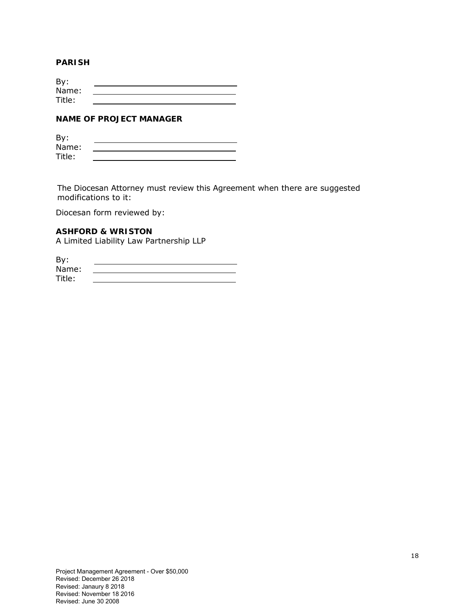#### **PARISH**

| By:    |  |
|--------|--|
| Name:  |  |
| Title: |  |

### **NAME OF PROJECT MANAGER**

| By:    |  |
|--------|--|
| Name:  |  |
| Title: |  |

The Diocesan Attorney must review this Agreement when there are suggested modifications to it:

Diocesan form reviewed by:

#### **ASHFORD & WRISTON**

A Limited Liability Law Partnership LLP

| By:    |  |
|--------|--|
| Name:  |  |
| Title: |  |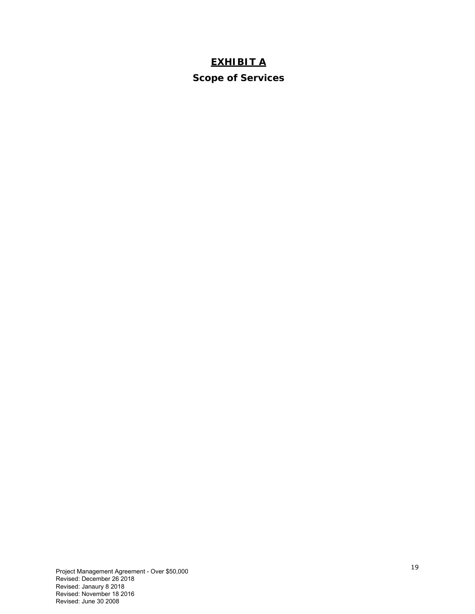# **EXHIBIT A**

**Scope of Services**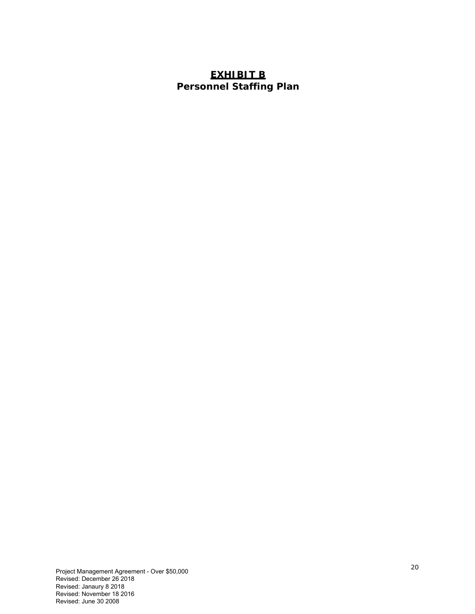# **EXHIBIT B Personnel Staffing Plan**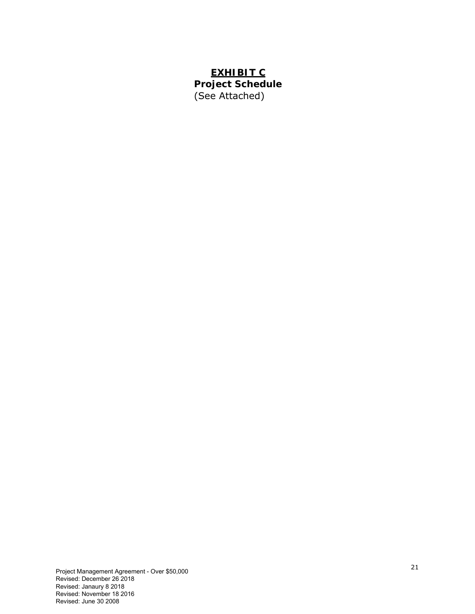# **EXHIBIT C Project Schedule**  (See Attached)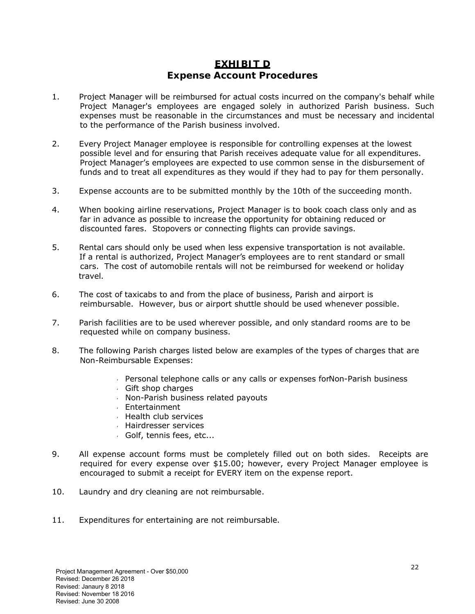# **EXHIBIT D Expense Account Procedures**

- 1. Project Manager will be reimbursed for actual costs incurred on the company's behalf while Project Manager's employees are engaged solely in authorized Parish business. Such expenses must be reasonable in the circumstances and must be necessary and incidental to the performance of the Parish business involved.
- 2. Every Project Manager employee is responsible for controlling expenses at the lowest possible level and for ensuring that Parish receives adequate value for all expenditures. Project Manager's employees are expected to use common sense in the disbursement of funds and to treat all expenditures as they would if they had to pay for them personally.
- 3. Expense accounts are to be submitted monthly by the 10th of the succeeding month.
- 4. When booking airline reservations, Project Manager is to book coach class only and as far in advance as possible to increase the opportunity for obtaining reduced or discounted fares. Stopovers or connecting flights can provide savings.
- 5. Rental cars should only be used when less expensive transportation is not available. If a rental is authorized, Project Manager's employees are to rent standard or small cars. The cost of automobile rentals will not be reimbursed for weekend or holiday travel.
- 6. The cost of taxicabs to and from the place of business, Parish and airport is reimbursable. However, bus or airport shuttle should be used whenever possible.
- 7. Parish facilities are to be used wherever possible, and only standard rooms are to be requested while on company business.
- 8. The following Parish charges listed below are examples of the types of charges that are Non-Reimbursable Expenses:
	- Personal telephone calls or any calls or expenses forNon-Parish business
	- Gift shop charges
	- $\sqrt{N}$  Non-Parish business related payouts
	- Entertainment
	- $\overline{\phantom{a}}$  Health club services
	- Hairdresser services
	- Golf, tennis fees, etc...
- 9. All expense account forms must be completely filled out on both sides. Receipts are required for every expense over \$15.00; however, every Project Manager employee is encouraged to submit a receipt for EVERY item on the expense report.
- 10. Laundry and dry cleaning are not reimbursable.
- 11. Expenditures for entertaining are not reimbursable.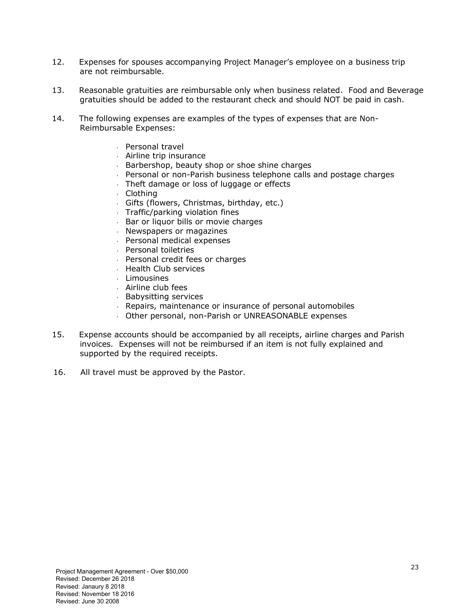- 12. Expenses for spouses accompanying Project Manager's employee on a business trip are not reimbursable.
- 13. Reasonable gratuities are reimbursable only when business related. Food and Beverage gratuities should be added to the restaurant check and should NOT be paid in cash.
- 14. The following expenses are examples of the types of expenses that are Non-Reimbursable Expenses:
	- Personal travel
	- $\overline{a}$  Airline trip insurance
	- $\overline{B}$  Barbershop, beauty shop or shoe shine charges
	- Personal or non-Parish business telephone calls and postage charges
	- Theft damage or loss of luggage or effects
	- Clothing
	- Gifts (flowers, Christmas, birthday, etc.)
	- $\sqrt{ }$  Traffic/parking violation fines
	- $\overline{\phantom{a}}$  Bar or liquor bills or movie charges
	- $\sqrt{ }$  Newspapers or magazines
	- Personal medical expenses
	- Personal toiletries
	- $\sqrt{ }$  Personal credit fees or charges
	- Health Club services
	- Limousines
	- Airline club fees
	- Babysitting services
	- Repairs, maintenance or insurance of personal automobiles
	- Other personal, non-Parish or UNREASONABLE expenses
- 15. Expense accounts should be accompanied by all receipts, airline charges and Parish invoices. Expenses will not be reimbursed if an item is not fully explained and supported by the required receipts.
- 16. All travel must be approved by the Pastor.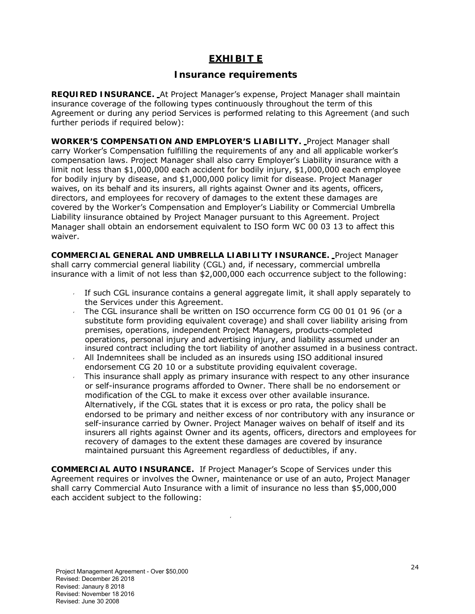# **EXHIBIT E**

# **Insurance requirements**

**REQUIRED INSURANCE.** At Project Manager's expense, Project Manager shall maintain insurance coverage of the following types continuously throughout the term of this Agreement or during any period Services is performed relating to this Agreement (and such further periods if required below):

**WORKER'S COMPENSATION AND EMPLOYER'S LIABILITY.** Project Manager shall carry Worker's Compensation fulfilling the requirements of any and all applicable worker's compensation laws. Project Manager shall also carry Employer's Liability insurance with a limit not less than \$1,000,000 each accident for bodily injury, \$1,000,000 each employee for bodily injury by disease, and \$1,000,000 policy limit for disease. Project Manager waives, on its behalf and its insurers, all rights against Owner and its agents, officers, directors, and employees for recovery of damages to the extent these damages are covered by the Worker's Compensation and Employer's Liability or Commercial Umbrella Liability iinsurance obtained by Project Manager pursuant to this Agreement. Project Manager shall obtain an endorsement equivalent to ISO form WC 00 03 13 to affect this waiver.

**COMMERCIAL GENERAL AND UMBRELLA LIABILITY INSURANCE.** Project Manager shall carry commercial general liability (CGL) and, if necessary, commercial umbrella insurance with a limit of not less than \$2,000,000 each occurrence subject to the following:

- If such CGL insurance contains a general aggregate limit, it shall apply separately to the Services under this Agreement.
- The CGL insurance shall be written on ISO occurrence form CG 00 01 01 96 (or a substitute form providing equivalent coverage) and shall cover liability arising from premises, operations, independent Project Managers, products-completed operations, personal injury and advertising injury, and liability assumed under an insured contract including the tort liability of another assumed in a business contract.  $\sim$  All Indemnitees shall be included as an insureds using ISO additional insured
- endorsement CG 20 10 or a substitute providing equivalent coverage.
- This insurance shall apply as primary insurance with respect to any other insurance or self-insurance programs afforded to Owner. There shall be no endorsement or modification of the CGL to make it excess over other available insurance. Alternatively, if the CGL states that it is excess or pro rata, the policy shall be endorsed to be primary and neither excess of nor contributory with any insurance or self-insurance carried by Owner. Project Manager waives on behalf of itself and its insurers all rights against Owner and its agents, officers, directors and employees for recovery of damages to the extent these damages are covered by insurance maintained pursuant this Agreement regardless of deductibles, if any.

**COMMERCIAL AUTO INSURANCE.** If Project Manager's Scope of Services under this Agreement requires or involves the Owner, maintenance or use of an auto, Project Manager shall carry Commercial Auto Insurance with a limit of insurance no less than \$5,000,000 each accident subject to the following:

 $\mathcal{L}$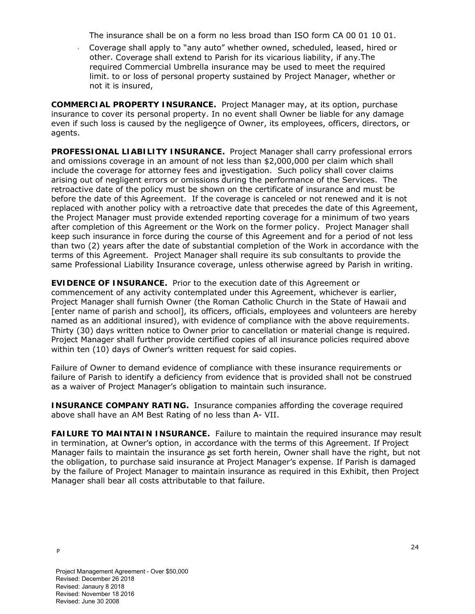The insurance shall be on a form no less broad than ISO form CA 00 01 10 01.

 Coverage shall apply to "any auto" whether owned, scheduled, leased, hired or other. Coverage shall extend to Parish for its vicarious liability, if any.The required Commercial Umbrella insurance may be used to meet the required limit. to or loss of personal property sustained by Project Manager, whether or not it is insured,

**COMMERCIAL PROPERTY INSURANCE.** Project Manager may, at its option, purchase insurance to cover its personal property. In no event shall Owner be liable for any damage even if such loss is caused by the negligence of Owner, its employees, officers, directors, or agents.

**PROFESSIONAL LIABILITY INSURANCE.** Project Manager shall carry professional errors and omissions coverage in an amount of not less than \$2,000,000 per claim which shall include the coverage for attorney fees and investigation. Such policy shall cover claims arising out of negligent errors or omissions during the performance of the Services. The retroactive date of the policy must be shown on the certificate of insurance and must be before the date of this Agreement. If the coverage is canceled or not renewed and it is not replaced with another policy with a retroactive date that precedes the date of this Agreement, the Project Manager must provide extended reporting coverage for a minimum of two years after completion of this Agreement or the Work on the former policy. Project Manager shall keep such insurance in force during the course of this Agreement and for a period of not less than two (2) years after the date of substantial completion of the Work in accordance with the terms of this Agreement. Project Manager shall require its sub consultants to provide the same Professional Liability Insurance coverage, unless otherwise agreed by Parish in writing.

**EVIDENCE OF INSURANCE.** Prior to the execution date of this Agreement or commencement of any activity contemplated under this Agreement, whichever is earlier, Project Manager shall furnish Owner (the Roman Catholic Church in the State of Hawaii and [*enter name of parish and school*], its officers, officials, employees and volunteers are hereby named as an additional insured), with evidence of compliance with the above requirements. Thirty (30) days written notice to Owner prior to cancellation or material change is required. Project Manager shall further provide certified copies of all insurance policies required above within ten (10) days of Owner's written request for said copies.

Failure of Owner to demand evidence of compliance with these insurance requirements or failure of Parish to identify a deficiency from evidence that is provided shall not be construed as a waiver of Project Manager's obligation to maintain such insurance.

**INSURANCE COMPANY RATING.** Insurance companies affording the coverage required above shall have an AM Best Rating of no less than A- VII.

**FAILURE TO MAINTAIN INSURANCE.** Failure to maintain the required insurance may result in termination, at Owner's option, in accordance with the terms of this Agreement. If Project Manager fails to maintain the insurance as set forth herein, Owner shall have the right, but not the obligation, to purchase said insurance at Project Manager's expense. If Parish is damaged by the failure of Project Manager to maintain insurance as required in this Exhibit, then Project Manager shall bear all costs attributable to that failure.